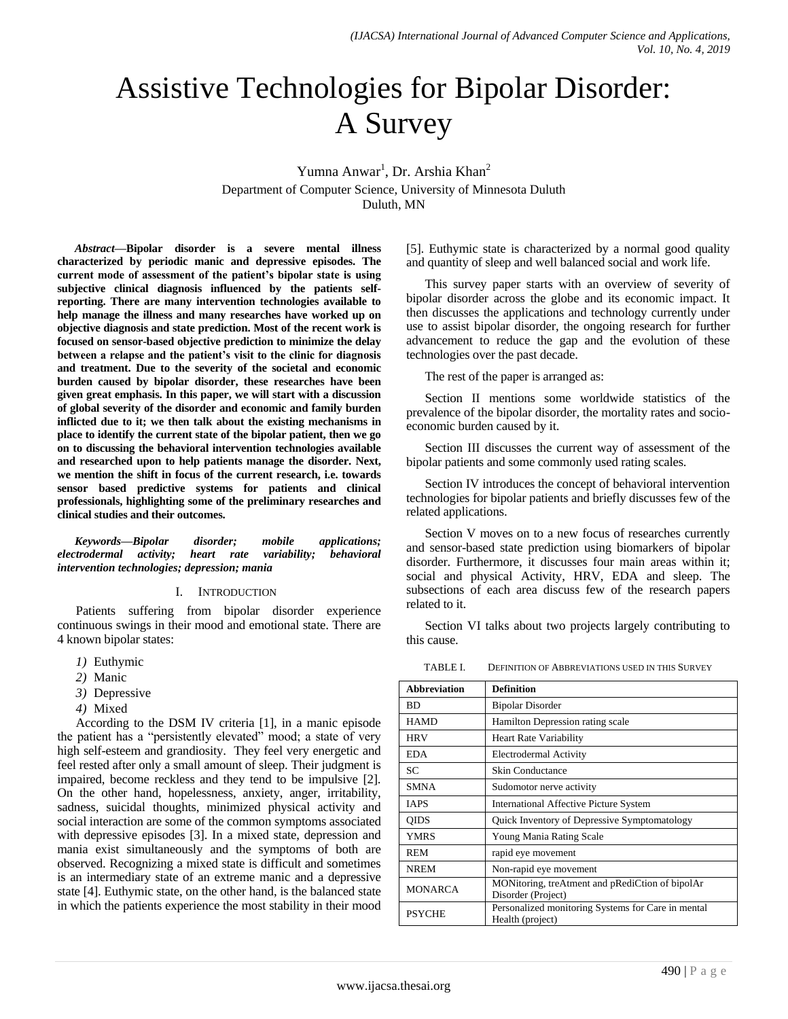# Assistive Technologies for Bipolar Disorder: A Survey

Yumna Anwar<sup>1</sup>, Dr. Arshia Khan<sup>2</sup> Department of Computer Science, University of Minnesota Duluth Duluth, MN

*Abstract***—Bipolar disorder is a severe mental illness characterized by periodic manic and depressive episodes. The current mode of assessment of the patient's bipolar state is using subjective clinical diagnosis influenced by the patients selfreporting. There are many intervention technologies available to help manage the illness and many researches have worked up on objective diagnosis and state prediction. Most of the recent work is focused on sensor-based objective prediction to minimize the delay between a relapse and the patient's visit to the clinic for diagnosis and treatment. Due to the severity of the societal and economic burden caused by bipolar disorder, these researches have been given great emphasis. In this paper, we will start with a discussion of global severity of the disorder and economic and family burden inflicted due to it; we then talk about the existing mechanisms in place to identify the current state of the bipolar patient, then we go on to discussing the behavioral intervention technologies available and researched upon to help patients manage the disorder. Next, we mention the shift in focus of the current research, i.e. towards sensor based predictive systems for patients and clinical professionals, highlighting some of the preliminary researches and clinical studies and their outcomes.**

*Keywords—Bipolar disorder; mobile applications; electrodermal activity; heart rate variability; behavioral intervention technologies; depression; mania*

#### I. INTRODUCTION

Patients suffering from bipolar disorder experience continuous swings in their mood and emotional state. There are 4 known bipolar states:

- *1)* Euthymic
- *2)* Manic
- *3)* Depressive
- *4)* Mixed

According to the DSM IV criteria [1], in a manic episode the patient has a "persistently elevated" mood; a state of very high self-esteem and grandiosity. They feel very energetic and feel rested after only a small amount of sleep. Their judgment is impaired, become reckless and they tend to be impulsive [2]. On the other hand, hopelessness, anxiety, anger, irritability, sadness, suicidal thoughts, minimized physical activity and social interaction are some of the common symptoms associated with depressive episodes [3]. In a mixed state, depression and mania exist simultaneously and the symptoms of both are observed. Recognizing a mixed state is difficult and sometimes is an intermediary state of an extreme manic and a depressive state [4]. Euthymic state, on the other hand, is the balanced state in which the patients experience the most stability in their mood [5]. Euthymic state is characterized by a normal good quality and quantity of sleep and well balanced social and work life.

This survey paper starts with an overview of severity of bipolar disorder across the globe and its economic impact. It then discusses the applications and technology currently under use to assist bipolar disorder, the ongoing research for further advancement to reduce the gap and the evolution of these technologies over the past decade.

The rest of the paper is arranged as:

Section II mentions some worldwide statistics of the prevalence of the bipolar disorder, the mortality rates and socioeconomic burden caused by it.

Section III discusses the current way of assessment of the bipolar patients and some commonly used rating scales.

Section IV introduces the concept of behavioral intervention technologies for bipolar patients and briefly discusses few of the related applications.

Section V moves on to a new focus of researches currently and sensor-based state prediction using biomarkers of bipolar disorder. Furthermore, it discusses four main areas within it; social and physical Activity, HRV, EDA and sleep. The subsections of each area discuss few of the research papers related to it.

Section VI talks about two projects largely contributing to this cause.

TABLE I. DEFINITION OF ABBREVIATIONS USED IN THIS SURVEY

| <b>Abbreviation</b> | <b>Definition</b>                                  |  |  |  |
|---------------------|----------------------------------------------------|--|--|--|
| <b>BD</b>           | <b>Bipolar Disorder</b>                            |  |  |  |
| <b>HAMD</b>         | Hamilton Depression rating scale                   |  |  |  |
| <b>HRV</b>          | <b>Heart Rate Variability</b>                      |  |  |  |
| EDA.                | Electrodermal Activity                             |  |  |  |
| SC.                 | <b>Skin Conductance</b>                            |  |  |  |
| <b>SMNA</b>         | Sudomotor nerve activity                           |  |  |  |
| <b>TAPS</b>         | <b>International Affective Picture System</b>      |  |  |  |
| QIDS                | Quick Inventory of Depressive Symptomatology       |  |  |  |
| <b>YMRS</b>         | Young Mania Rating Scale                           |  |  |  |
| <b>REM</b>          | rapid eye movement                                 |  |  |  |
| <b>NREM</b>         | Non-rapid eye movement                             |  |  |  |
| <b>MONARCA</b>      | MONitoring, treAtment and pRediCtion of bipolAr    |  |  |  |
|                     | Disorder (Project)                                 |  |  |  |
| <b>PSYCHE</b>       | Personalized monitoring Systems for Care in mental |  |  |  |
|                     | Health (project)                                   |  |  |  |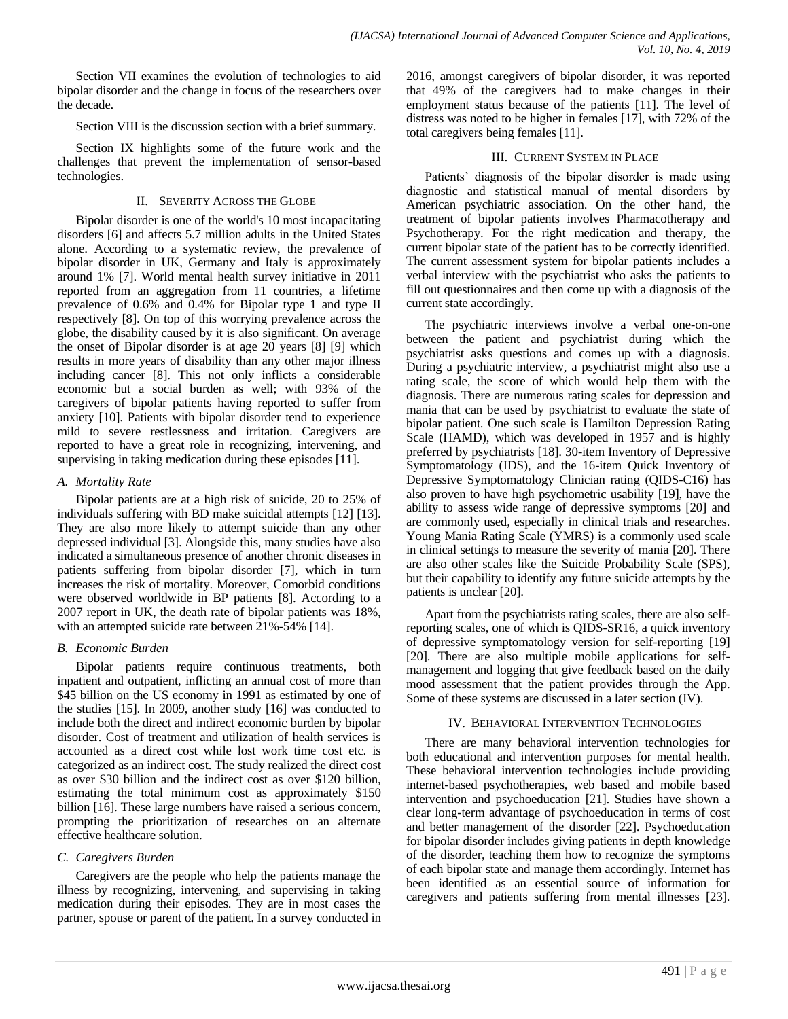Section VII examines the evolution of technologies to aid bipolar disorder and the change in focus of the researchers over the decade.

Section VIII is the discussion section with a brief summary.

Section IX highlights some of the future work and the challenges that prevent the implementation of sensor-based technologies.

## II. SEVERITY ACROSS THE GLOBE

Bipolar disorder is one of the world's 10 most incapacitating disorders [6] and affects 5.7 million adults in the United States alone. According to a systematic review, the prevalence of bipolar disorder in UK, Germany and Italy is approximately around 1% [7]. World mental health survey initiative in 2011 reported from an aggregation from 11 countries, a lifetime prevalence of 0.6% and 0.4% for Bipolar type 1 and type II respectively [8]. On top of this worrying prevalence across the globe, the disability caused by it is also significant. On average the onset of Bipolar disorder is at age 20 years [8] [9] which results in more years of disability than any other major illness including cancer [8]. This not only inflicts a considerable economic but a social burden as well; with 93% of the caregivers of bipolar patients having reported to suffer from anxiety [10]. Patients with bipolar disorder tend to experience mild to severe restlessness and irritation. Caregivers are reported to have a great role in recognizing, intervening, and supervising in taking medication during these episodes [11].

## *A. Mortality Rate*

Bipolar patients are at a high risk of suicide, 20 to 25% of individuals suffering with BD make suicidal attempts [12] [13]. They are also more likely to attempt suicide than any other depressed individual [3]. Alongside this, many studies have also indicated a simultaneous presence of another chronic diseases in patients suffering from bipolar disorder [7], which in turn increases the risk of mortality. Moreover, Comorbid conditions were observed worldwide in BP patients [8]. According to a 2007 report in UK, the death rate of bipolar patients was 18%, with an attempted suicide rate between 21%-54% [14].

## *B. Economic Burden*

Bipolar patients require continuous treatments, both inpatient and outpatient, inflicting an annual cost of more than \$45 billion on the US economy in 1991 as estimated by one of the studies [15]. In 2009, another study [16] was conducted to include both the direct and indirect economic burden by bipolar disorder. Cost of treatment and utilization of health services is accounted as a direct cost while lost work time cost etc. is categorized as an indirect cost. The study realized the direct cost as over \$30 billion and the indirect cost as over \$120 billion, estimating the total minimum cost as approximately \$150 billion [16]. These large numbers have raised a serious concern, prompting the prioritization of researches on an alternate effective healthcare solution.

## *C. Caregivers Burden*

Caregivers are the people who help the patients manage the illness by recognizing, intervening, and supervising in taking medication during their episodes. They are in most cases the partner, spouse or parent of the patient. In a survey conducted in 2016, amongst caregivers of bipolar disorder, it was reported that 49% of the caregivers had to make changes in their employment status because of the patients [11]. The level of distress was noted to be higher in females [17], with 72% of the total caregivers being females [11].

## III. CURRENT SYSTEM IN PLACE

Patients' diagnosis of the bipolar disorder is made using diagnostic and statistical manual of mental disorders by American psychiatric association. On the other hand, the treatment of bipolar patients involves Pharmacotherapy and Psychotherapy. For the right medication and therapy, the current bipolar state of the patient has to be correctly identified. The current assessment system for bipolar patients includes a verbal interview with the psychiatrist who asks the patients to fill out questionnaires and then come up with a diagnosis of the current state accordingly.

The psychiatric interviews involve a verbal one-on-one between the patient and psychiatrist during which the psychiatrist asks questions and comes up with a diagnosis. During a psychiatric interview, a psychiatrist might also use a rating scale, the score of which would help them with the diagnosis. There are numerous rating scales for depression and mania that can be used by psychiatrist to evaluate the state of bipolar patient. One such scale is Hamilton Depression Rating Scale (HAMD), which was developed in 1957 and is highly preferred by psychiatrists [18]. 30-item Inventory of Depressive Symptomatology (IDS), and the 16-item Quick Inventory of Depressive Symptomatology Clinician rating (QIDS-C16) has also proven to have high psychometric usability [19], have the ability to assess wide range of depressive symptoms [20] and are commonly used, especially in clinical trials and researches. Young Mania Rating Scale (YMRS) is a commonly used scale in clinical settings to measure the severity of mania [20]. There are also other scales like the Suicide Probability Scale (SPS), but their capability to identify any future suicide attempts by the patients is unclear [20].

Apart from the psychiatrists rating scales, there are also selfreporting scales, one of which is QIDS-SR16, a quick inventory of depressive symptomatology version for self-reporting [19] [20]. There are also multiple mobile applications for selfmanagement and logging that give feedback based on the daily mood assessment that the patient provides through the App. Some of these systems are discussed in a later section (IV).

## IV. BEHAVIORAL INTERVENTION TECHNOLOGIES

There are many behavioral intervention technologies for both educational and intervention purposes for mental health. These behavioral intervention technologies include providing internet-based psychotherapies, web based and mobile based intervention and psychoeducation [21]. Studies have shown a clear long-term advantage of psychoeducation in terms of cost and better management of the disorder [22]. Psychoeducation for bipolar disorder includes giving patients in depth knowledge of the disorder, teaching them how to recognize the symptoms of each bipolar state and manage them accordingly. Internet has been identified as an essential source of information for caregivers and patients suffering from mental illnesses [23].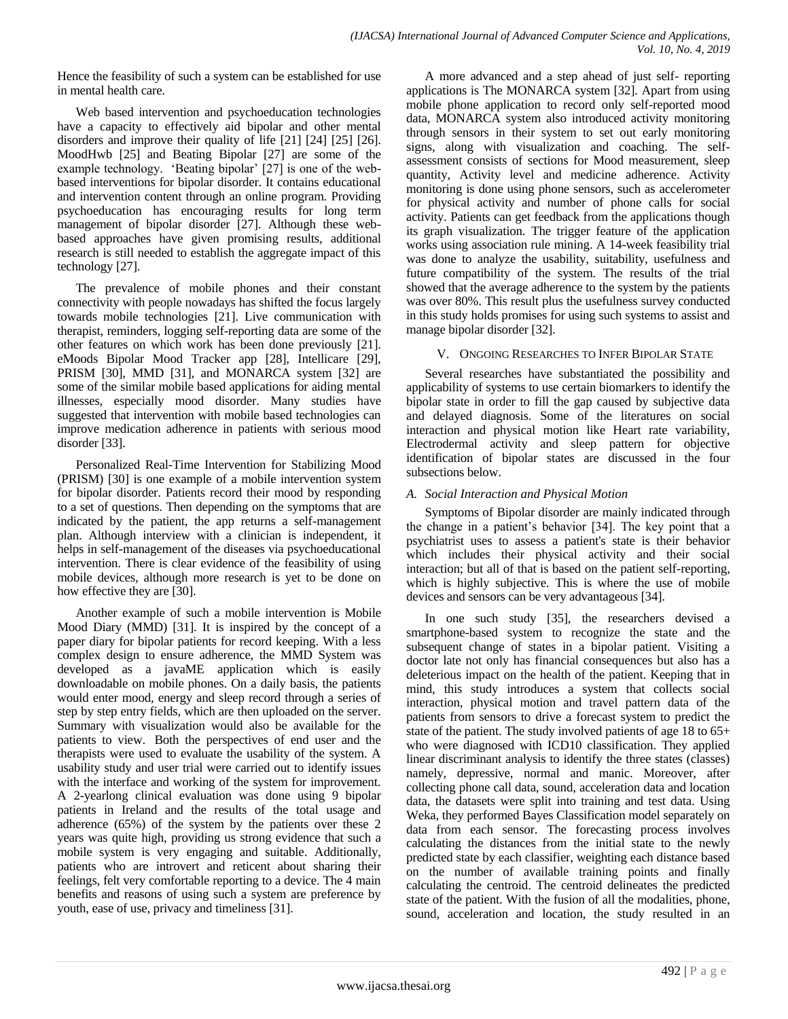Hence the feasibility of such a system can be established for use in mental health care.

Web based intervention and psychoeducation technologies have a capacity to effectively aid bipolar and other mental disorders and improve their quality of life [21] [24] [25] [26]. MoodHwb [25] and Beating Bipolar [27] are some of the example technology. 'Beating bipolar' [27] is one of the webbased interventions for bipolar disorder. It contains educational and intervention content through an online program. Providing psychoeducation has encouraging results for long term management of bipolar disorder [27]. Although these webbased approaches have given promising results, additional research is still needed to establish the aggregate impact of this technology [27].

The prevalence of mobile phones and their constant connectivity with people nowadays has shifted the focus largely towards mobile technologies [21]. Live communication with therapist, reminders, logging self-reporting data are some of the other features on which work has been done previously [21]. eMoods Bipolar Mood Tracker app [28], Intellicare [29], PRISM [30], MMD [31], and MONARCA system [32] are some of the similar mobile based applications for aiding mental illnesses, especially mood disorder. Many studies have suggested that intervention with mobile based technologies can improve medication adherence in patients with serious mood disorder [33].

Personalized Real-Time Intervention for Stabilizing Mood (PRISM) [30] is one example of a mobile intervention system for bipolar disorder. Patients record their mood by responding to a set of questions. Then depending on the symptoms that are indicated by the patient, the app returns a self-management plan. Although interview with a clinician is independent, it helps in self-management of the diseases via psychoeducational intervention. There is clear evidence of the feasibility of using mobile devices, although more research is yet to be done on how effective they are [30].

Another example of such a mobile intervention is Mobile Mood Diary (MMD) [31]. It is inspired by the concept of a paper diary for bipolar patients for record keeping. With a less complex design to ensure adherence, the MMD System was developed as a javaME application which is easily downloadable on mobile phones. On a daily basis, the patients would enter mood, energy and sleep record through a series of step by step entry fields, which are then uploaded on the server. Summary with visualization would also be available for the patients to view. Both the perspectives of end user and the therapists were used to evaluate the usability of the system. A usability study and user trial were carried out to identify issues with the interface and working of the system for improvement. A 2-yearlong clinical evaluation was done using 9 bipolar patients in Ireland and the results of the total usage and adherence (65%) of the system by the patients over these 2 years was quite high, providing us strong evidence that such a mobile system is very engaging and suitable. Additionally, patients who are introvert and reticent about sharing their feelings, felt very comfortable reporting to a device. The 4 main benefits and reasons of using such a system are preference by youth, ease of use, privacy and timeliness [31].

A more advanced and a step ahead of just self- reporting applications is The MONARCA system [32]. Apart from using mobile phone application to record only self-reported mood data, MONARCA system also introduced activity monitoring through sensors in their system to set out early monitoring signs, along with visualization and coaching. The selfassessment consists of sections for Mood measurement, sleep quantity, Activity level and medicine adherence. Activity monitoring is done using phone sensors, such as accelerometer for physical activity and number of phone calls for social activity. Patients can get feedback from the applications though its graph visualization. The trigger feature of the application works using association rule mining. A 14-week feasibility trial was done to analyze the usability, suitability, usefulness and future compatibility of the system. The results of the trial showed that the average adherence to the system by the patients was over 80%. This result plus the usefulness survey conducted in this study holds promises for using such systems to assist and manage bipolar disorder [32].

## V. ONGOING RESEARCHES TO INFER BIPOLAR STATE

Several researches have substantiated the possibility and applicability of systems to use certain biomarkers to identify the bipolar state in order to fill the gap caused by subjective data and delayed diagnosis. Some of the literatures on social interaction and physical motion like Heart rate variability, Electrodermal activity and sleep pattern for objective identification of bipolar states are discussed in the four subsections below.

# *A. Social Interaction and Physical Motion*

Symptoms of Bipolar disorder are mainly indicated through the change in a patient"s behavior [34]. The key point that a psychiatrist uses to assess a patient's state is their behavior which includes their physical activity and their social interaction; but all of that is based on the patient self-reporting, which is highly subjective. This is where the use of mobile devices and sensors can be very advantageous [34].

In one such study [35], the researchers devised a smartphone-based system to recognize the state and the subsequent change of states in a bipolar patient. Visiting a doctor late not only has financial consequences but also has a deleterious impact on the health of the patient. Keeping that in mind, this study introduces a system that collects social interaction, physical motion and travel pattern data of the patients from sensors to drive a forecast system to predict the state of the patient. The study involved patients of age 18 to 65+ who were diagnosed with ICD10 classification. They applied linear discriminant analysis to identify the three states (classes) namely, depressive, normal and manic. Moreover, after collecting phone call data, sound, acceleration data and location data, the datasets were split into training and test data. Using Weka, they performed Bayes Classification model separately on data from each sensor. The forecasting process involves calculating the distances from the initial state to the newly predicted state by each classifier, weighting each distance based on the number of available training points and finally calculating the centroid. The centroid delineates the predicted state of the patient. With the fusion of all the modalities, phone, sound, acceleration and location, the study resulted in an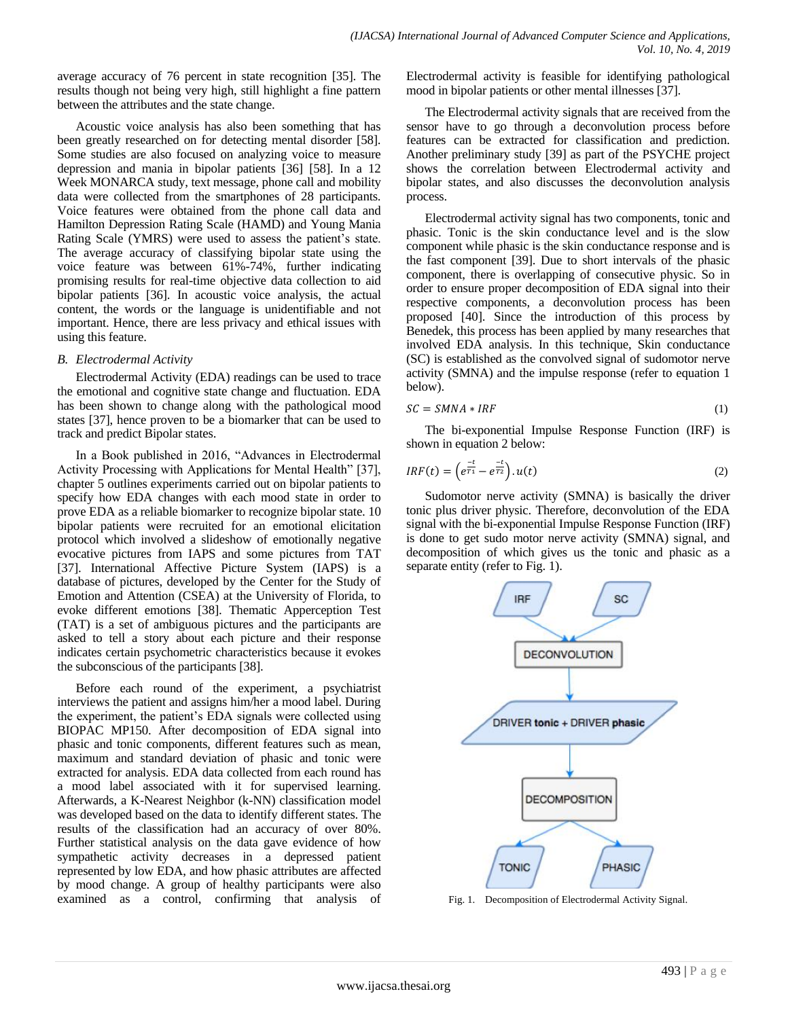average accuracy of 76 percent in state recognition [35]. The results though not being very high, still highlight a fine pattern between the attributes and the state change.

Acoustic voice analysis has also been something that has been greatly researched on for detecting mental disorder [58]. Some studies are also focused on analyzing voice to measure depression and mania in bipolar patients [36] [58]. In a 12 Week MONARCA study, text message, phone call and mobility data were collected from the smartphones of 28 participants. Voice features were obtained from the phone call data and Hamilton Depression Rating Scale (HAMD) and Young Mania Rating Scale (YMRS) were used to assess the patient"s state. The average accuracy of classifying bipolar state using the voice feature was between 61%-74%, further indicating promising results for real-time objective data collection to aid bipolar patients [36]. In acoustic voice analysis, the actual content, the words or the language is unidentifiable and not important. Hence, there are less privacy and ethical issues with using this feature.

#### *B. Electrodermal Activity*

Electrodermal Activity (EDA) readings can be used to trace the emotional and cognitive state change and fluctuation. EDA has been shown to change along with the pathological mood states [37], hence proven to be a biomarker that can be used to track and predict Bipolar states.

In a Book published in 2016, "Advances in Electrodermal Activity Processing with Applications for Mental Health" [37], chapter 5 outlines experiments carried out on bipolar patients to specify how EDA changes with each mood state in order to prove EDA as a reliable biomarker to recognize bipolar state. 10 bipolar patients were recruited for an emotional elicitation protocol which involved a slideshow of emotionally negative evocative pictures from IAPS and some pictures from TAT [37]. International Affective Picture System (IAPS) is a database of pictures, developed by the Center for the Study of Emotion and Attention (CSEA) at the University of Florida, to evoke different emotions [38]. Thematic Apperception Test (TAT) is a set of ambiguous pictures and the participants are asked to tell a story about each picture and their response indicates certain psychometric characteristics because it evokes the subconscious of the participants [38].

Before each round of the experiment, a psychiatrist interviews the patient and assigns him/her a mood label. During the experiment, the patient"s EDA signals were collected using BIOPAC MP150. After decomposition of EDA signal into phasic and tonic components, different features such as mean, maximum and standard deviation of phasic and tonic were extracted for analysis. EDA data collected from each round has a mood label associated with it for supervised learning. Afterwards, a K-Nearest Neighbor (k-NN) classification model was developed based on the data to identify different states. The results of the classification had an accuracy of over 80%. Further statistical analysis on the data gave evidence of how sympathetic activity decreases in a depressed patient represented by low EDA, and how phasic attributes are affected by mood change. A group of healthy participants were also examined as a control, confirming that analysis of

Electrodermal activity is feasible for identifying pathological mood in bipolar patients or other mental illnesses [37].

The Electrodermal activity signals that are received from the sensor have to go through a deconvolution process before features can be extracted for classification and prediction. Another preliminary study [39] as part of the PSYCHE project shows the correlation between Electrodermal activity and bipolar states, and also discusses the deconvolution analysis process.

Electrodermal activity signal has two components, tonic and phasic. Tonic is the skin conductance level and is the slow component while phasic is the skin conductance response and is the fast component [39]. Due to short intervals of the phasic component, there is overlapping of consecutive physic. So in order to ensure proper decomposition of EDA signal into their respective components, a deconvolution process has been proposed [40]. Since the introduction of this process by Benedek, this process has been applied by many researches that involved EDA analysis. In this technique, Skin conductance (SC) is established as the convolved signal of sudomotor nerve activity (SMNA) and the impulse response (refer to equation 1 below).

$$
SC = SMNA * IRF
$$
 (1)

The bi-exponential Impulse Response Function (IRF) is shown in equation 2 below:

$$
IRF(t) = \left(e^{\frac{-t}{T_1}} - e^{\frac{-t}{T_2}}\right) \cdot u(t) \tag{2}
$$

Sudomotor nerve activity (SMNA) is basically the driver tonic plus driver physic. Therefore, deconvolution of the EDA signal with the bi-exponential Impulse Response Function (IRF) is done to get sudo motor nerve activity (SMNA) signal, and decomposition of which gives us the tonic and phasic as a separate entity (refer to Fig. 1).



Fig. 1. Decomposition of Electrodermal Activity Signal.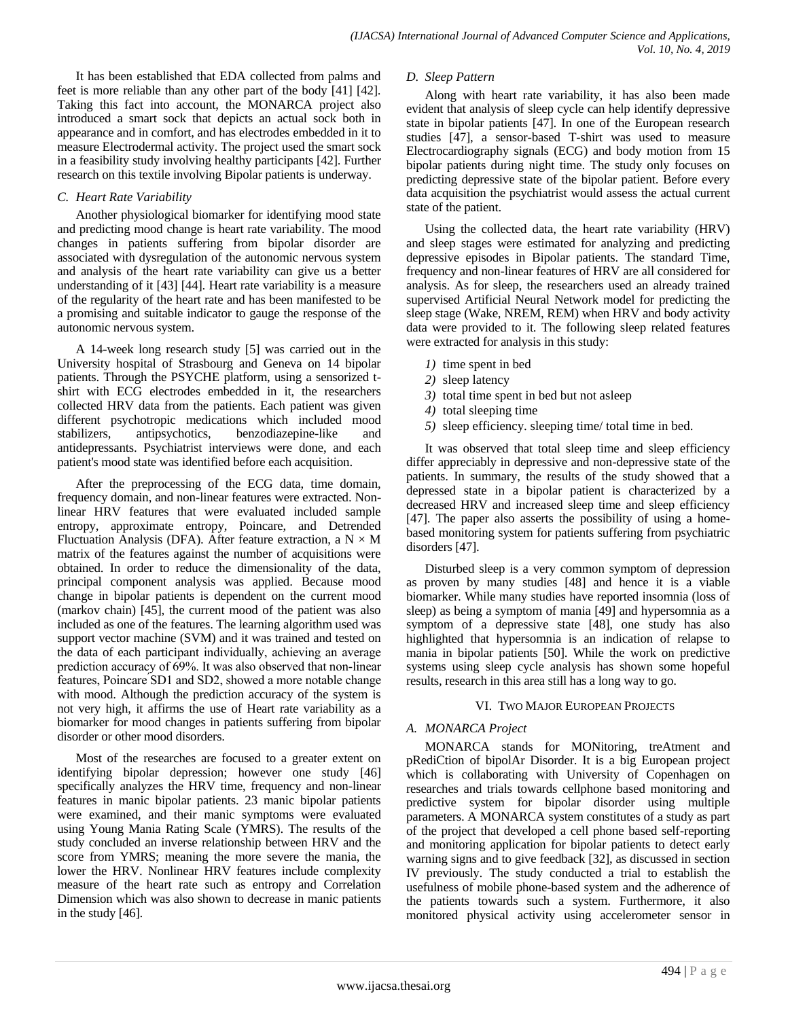It has been established that EDA collected from palms and feet is more reliable than any other part of the body [41] [42]. Taking this fact into account, the MONARCA project also introduced a smart sock that depicts an actual sock both in appearance and in comfort, and has electrodes embedded in it to measure Electrodermal activity. The project used the smart sock in a feasibility study involving healthy participants [42]. Further research on this textile involving Bipolar patients is underway.

## *C. Heart Rate Variability*

Another physiological biomarker for identifying mood state and predicting mood change is heart rate variability. The mood changes in patients suffering from bipolar disorder are associated with dysregulation of the autonomic nervous system and analysis of the heart rate variability can give us a better understanding of it [43] [44]. Heart rate variability is a measure of the regularity of the heart rate and has been manifested to be a promising and suitable indicator to gauge the response of the autonomic nervous system.

A 14-week long research study [5] was carried out in the University hospital of Strasbourg and Geneva on 14 bipolar patients. Through the PSYCHE platform, using a sensorized tshirt with ECG electrodes embedded in it, the researchers collected HRV data from the patients. Each patient was given different psychotropic medications which included mood stabilizers, antipsychotics, benzodiazepine-like and antidepressants. Psychiatrist interviews were done, and each patient's mood state was identified before each acquisition.

After the preprocessing of the ECG data, time domain, frequency domain, and non-linear features were extracted. Nonlinear HRV features that were evaluated included sample entropy, approximate entropy, Poincare, and Detrended Fluctuation Analysis (DFA). After feature extraction, a  $N \times M$ matrix of the features against the number of acquisitions were obtained. In order to reduce the dimensionality of the data, principal component analysis was applied. Because mood change in bipolar patients is dependent on the current mood (markov chain) [45], the current mood of the patient was also included as one of the features. The learning algorithm used was support vector machine (SVM) and it was trained and tested on the data of each participant individually, achieving an average prediction accuracy of 69%. It was also observed that non-linear features, Poincare SD1 and SD2, showed a more notable change with mood. Although the prediction accuracy of the system is not very high, it affirms the use of Heart rate variability as a biomarker for mood changes in patients suffering from bipolar disorder or other mood disorders.

Most of the researches are focused to a greater extent on identifying bipolar depression; however one study [46] specifically analyzes the HRV time, frequency and non-linear features in manic bipolar patients. 23 manic bipolar patients were examined, and their manic symptoms were evaluated using Young Mania Rating Scale (YMRS). The results of the study concluded an inverse relationship between HRV and the score from YMRS; meaning the more severe the mania, the lower the HRV. Nonlinear HRV features include complexity measure of the heart rate such as entropy and Correlation Dimension which was also shown to decrease in manic patients in the study [46].

## *D. Sleep Pattern*

Along with heart rate variability, it has also been made evident that analysis of sleep cycle can help identify depressive state in bipolar patients [47]. In one of the European research studies [47], a sensor-based T-shirt was used to measure Electrocardiography signals (ECG) and body motion from 15 bipolar patients during night time. The study only focuses on predicting depressive state of the bipolar patient. Before every data acquisition the psychiatrist would assess the actual current state of the patient.

Using the collected data, the heart rate variability (HRV) and sleep stages were estimated for analyzing and predicting depressive episodes in Bipolar patients. The standard Time, frequency and non-linear features of HRV are all considered for analysis. As for sleep, the researchers used an already trained supervised Artificial Neural Network model for predicting the sleep stage (Wake, NREM, REM) when HRV and body activity data were provided to it. The following sleep related features were extracted for analysis in this study:

- *1)* time spent in bed
- *2)* sleep latency
- *3)* total time spent in bed but not asleep
- *4)* total sleeping time
- *5)* sleep efficiency. sleeping time/ total time in bed.

It was observed that total sleep time and sleep efficiency differ appreciably in depressive and non-depressive state of the patients. In summary, the results of the study showed that a depressed state in a bipolar patient is characterized by a decreased HRV and increased sleep time and sleep efficiency [47]. The paper also asserts the possibility of using a homebased monitoring system for patients suffering from psychiatric disorders [47].

Disturbed sleep is a very common symptom of depression as proven by many studies [48] and hence it is a viable biomarker. While many studies have reported insomnia (loss of sleep) as being a symptom of mania [49] and hypersomnia as a symptom of a depressive state [48], one study has also highlighted that hypersomnia is an indication of relapse to mania in bipolar patients [50]. While the work on predictive systems using sleep cycle analysis has shown some hopeful results, research in this area still has a long way to go.

#### VI. TWO MAJOR EUROPEAN PROJECTS

## *A. MONARCA Project*

MONARCA stands for MONitoring, treAtment and pRediCtion of bipolAr Disorder. It is a big European project which is collaborating with University of Copenhagen on researches and trials towards cellphone based monitoring and predictive system for bipolar disorder using multiple parameters. A MONARCA system constitutes of a study as part of the project that developed a cell phone based self-reporting and monitoring application for bipolar patients to detect early warning signs and to give feedback [32], as discussed in section IV previously. The study conducted a trial to establish the usefulness of mobile phone-based system and the adherence of the patients towards such a system. Furthermore, it also monitored physical activity using accelerometer sensor in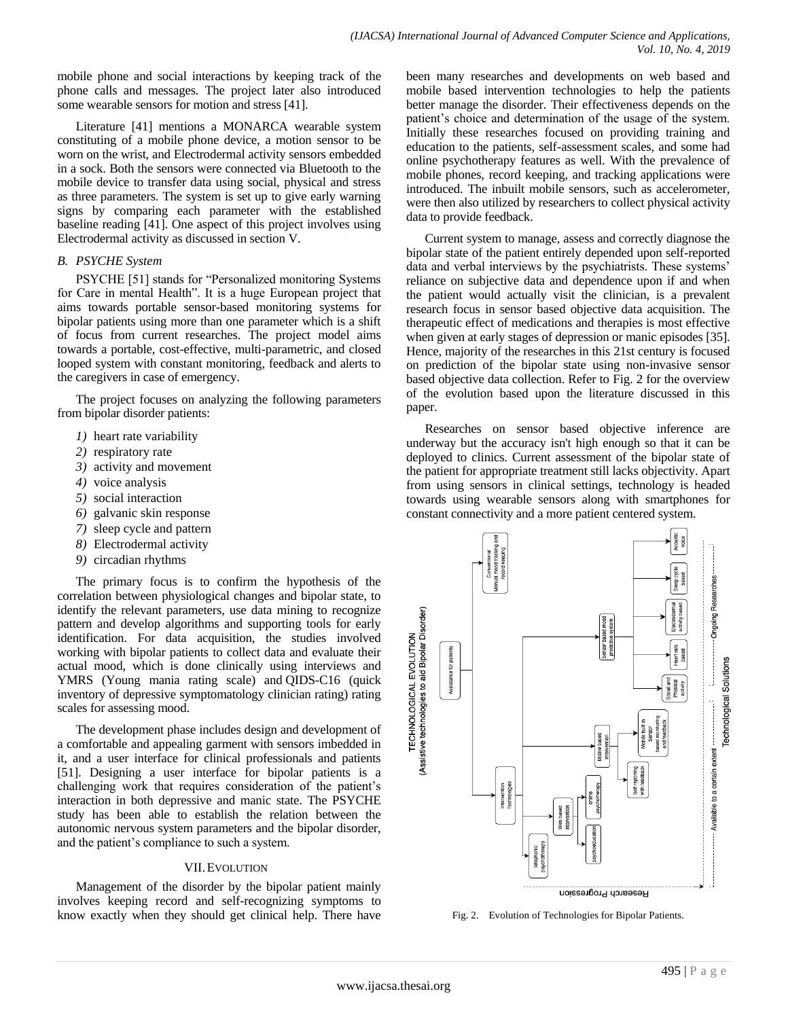mobile phone and social interactions by keeping track of the phone calls and messages. The project later also introduced some wearable sensors for motion and stress [41].

Literature [41] mentions a MONARCA wearable system constituting of a mobile phone device, a motion sensor to be worn on the wrist, and Electrodermal activity sensors embedded in a sock. Both the sensors were connected via Bluetooth to the mobile device to transfer data using social, physical and stress as three parameters. The system is set up to give early warning signs by comparing each parameter with the established baseline reading [41]. One aspect of this project involves using Electrodermal activity as discussed in section V.

## *B. PSYCHE System*

PSYCHE [51] stands for "Personalized monitoring Systems for Care in mental Health". It is a huge European project that aims towards portable sensor-based monitoring systems for bipolar patients using more than one parameter which is a shift of focus from current researches. The project model aims towards a portable, cost-effective, multi-parametric, and closed looped system with constant monitoring, feedback and alerts to the caregivers in case of emergency.

The project focuses on analyzing the following parameters from bipolar disorder patients:

- *1)* heart rate variability
- *2)* respiratory rate
- *3)* activity and movement
- *4)* voice analysis
- *5)* social interaction
- *6)* galvanic skin response
- *7)* sleep cycle and pattern
- *8)* Electrodermal activity
- *9)* circadian rhythms

The primary focus is to confirm the hypothesis of the correlation between physiological changes and bipolar state, to identify the relevant parameters, use data mining to recognize pattern and develop algorithms and supporting tools for early identification. For data acquisition, the studies involved working with bipolar patients to collect data and evaluate their actual mood, which is done clinically using interviews and YMRS (Young mania rating scale) and QIDS-C16 (quick inventory of depressive symptomatology clinician rating) rating scales for assessing mood.

The development phase includes design and development of a comfortable and appealing garment with sensors imbedded in it, and a user interface for clinical professionals and patients [51]. Designing a user interface for bipolar patients is a challenging work that requires consideration of the patient"s interaction in both depressive and manic state. The PSYCHE study has been able to establish the relation between the autonomic nervous system parameters and the bipolar disorder, and the patient's compliance to such a system.

#### VII.EVOLUTION

Management of the disorder by the bipolar patient mainly involves keeping record and self-recognizing symptoms to know exactly when they should get clinical help. There have been many researches and developments on web based and mobile based intervention technologies to help the patients better manage the disorder. Their effectiveness depends on the patient"s choice and determination of the usage of the system. Initially these researches focused on providing training and education to the patients, self-assessment scales, and some had online psychotherapy features as well. With the prevalence of mobile phones, record keeping, and tracking applications were introduced. The inbuilt mobile sensors, such as accelerometer, were then also utilized by researchers to collect physical activity data to provide feedback.

Current system to manage, assess and correctly diagnose the bipolar state of the patient entirely depended upon self-reported data and verbal interviews by the psychiatrists. These systems' reliance on subjective data and dependence upon if and when the patient would actually visit the clinician, is a prevalent research focus in sensor based objective data acquisition. The therapeutic effect of medications and therapies is most effective when given at early stages of depression or manic episodes [35]. Hence, majority of the researches in this 21st century is focused on prediction of the bipolar state using non-invasive sensor based objective data collection. Refer to Fig. 2 for the overview of the evolution based upon the literature discussed in this paper.

Researches on sensor based objective inference are underway but the accuracy isn't high enough so that it can be deployed to clinics. Current assessment of the bipolar state of the patient for appropriate treatment still lacks objectivity. Apart from using sensors in clinical settings, technology is headed towards using wearable sensors along with smartphones for constant connectivity and a more patient centered system.



Fig. 2. Evolution of Technologies for Bipolar Patients.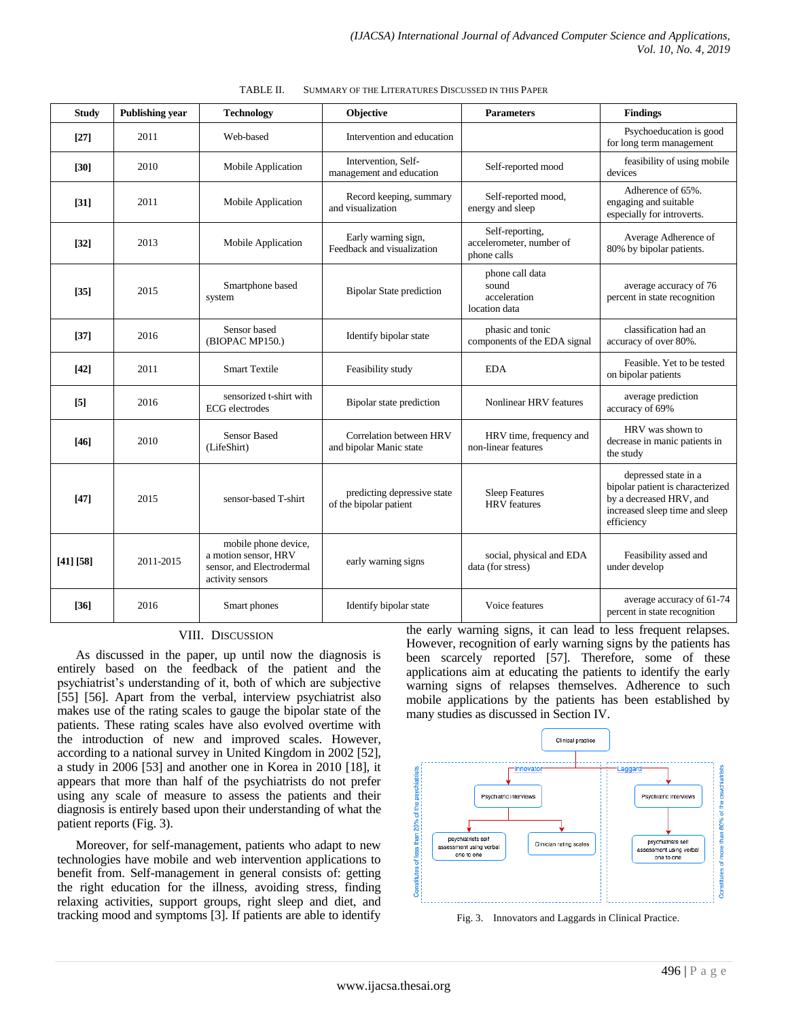| <b>Study</b> | <b>Publishing year</b> | <b>Technology</b>                                                                             | <b>Objective</b>                                      | <b>Parameters</b>                                          | <b>Findings</b>                                                                                                                     |
|--------------|------------------------|-----------------------------------------------------------------------------------------------|-------------------------------------------------------|------------------------------------------------------------|-------------------------------------------------------------------------------------------------------------------------------------|
| $[27]$       | 2011                   | Web-based                                                                                     | Intervention and education                            |                                                            | Psychoeducation is good<br>for long term management                                                                                 |
| [30]         | 2010                   | Mobile Application                                                                            | Intervention, Self-<br>management and education       | Self-reported mood                                         | feasibility of using mobile<br>devices                                                                                              |
| $[31]$       | 2011                   | Mobile Application                                                                            | Record keeping, summary<br>and visualization          | Self-reported mood,<br>energy and sleep                    | Adherence of 65%.<br>engaging and suitable<br>especially for introverts.                                                            |
| $[32]$       | 2013                   | Mobile Application                                                                            | Early warning sign,<br>Feedback and visualization     | Self-reporting,<br>accelerometer, number of<br>phone calls | Average Adherence of<br>80% by bipolar patients.                                                                                    |
| $[35]$       | 2015                   | Smartphone based<br>system                                                                    | <b>Bipolar State prediction</b>                       | phone call data<br>sound<br>acceleration<br>location data  | average accuracy of 76<br>percent in state recognition                                                                              |
| $[37]$       | 2016                   | Sensor based<br>(BIOPAC MP150.)                                                               | Identify bipolar state                                | phasic and tonic<br>components of the EDA signal           | classification had an<br>accuracy of over 80%.                                                                                      |
| $[42]$       | 2011                   | <b>Smart Textile</b>                                                                          | Feasibility study                                     | <b>EDA</b>                                                 | Feasible. Yet to be tested<br>on bipolar patients                                                                                   |
| [5]          | 2016                   | sensorized t-shirt with<br><b>ECG</b> electrodes                                              | Bipolar state prediction                              | Nonlinear HRV features                                     | average prediction<br>accuracy of 69%                                                                                               |
| $[46]$       | 2010                   | <b>Sensor Based</b><br>(LifeShirt)                                                            | Correlation between HRV<br>and bipolar Manic state    | HRV time, frequency and<br>non-linear features             | HRV was shown to<br>decrease in manic patients in<br>the study                                                                      |
| $[47]$       | 2015                   | sensor-based T-shirt                                                                          | predicting depressive state<br>of the bipolar patient | <b>Sleep Features</b><br><b>HRV</b> features               | depressed state in a<br>bipolar patient is characterized<br>by a decreased HRV, and<br>increased sleep time and sleep<br>efficiency |
| [41] [58]    | 2011-2015              | mobile phone device,<br>a motion sensor. HRV<br>sensor, and Electrodermal<br>activity sensors | early warning signs                                   | social, physical and EDA<br>data (for stress)              | Feasibility assed and<br>under develop                                                                                              |
| [36]         | 2016                   | Smart phones                                                                                  | Identify bipolar state                                | Voice features                                             | average accuracy of 61-74<br>percent in state recognition                                                                           |

| TABLE II. | SUMMARY OF THE LITERATURES DISCUSSED IN THIS PAPER |  |
|-----------|----------------------------------------------------|--|
|           |                                                    |  |

#### VIII. DISCUSSION

As discussed in the paper, up until now the diagnosis is entirely based on the feedback of the patient and the psychiatrist"s understanding of it, both of which are subjective [55] [56]. Apart from the verbal, interview psychiatrist also makes use of the rating scales to gauge the bipolar state of the patients. These rating scales have also evolved overtime with the introduction of new and improved scales. However, according to a national survey in United Kingdom in 2002 [52], a study in 2006 [53] and another one in Korea in 2010 [18], it appears that more than half of the psychiatrists do not prefer using any scale of measure to assess the patients and their diagnosis is entirely based upon their understanding of what the patient reports (Fig. 3).

Moreover, for self-management, patients who adapt to new technologies have mobile and web intervention applications to benefit from. Self-management in general consists of: getting the right education for the illness, avoiding stress, finding relaxing activities, support groups, right sleep and diet, and tracking mood and symptoms [3]. If patients are able to identify the early warning signs, it can lead to less frequent relapses. However, recognition of early warning signs by the patients has been scarcely reported [57]. Therefore, some of these applications aim at educating the patients to identify the early warning signs of relapses themselves. Adherence to such mobile applications by the patients has been established by many studies as discussed in Section IV.



Fig. 3. Innovators and Laggards in Clinical Practice.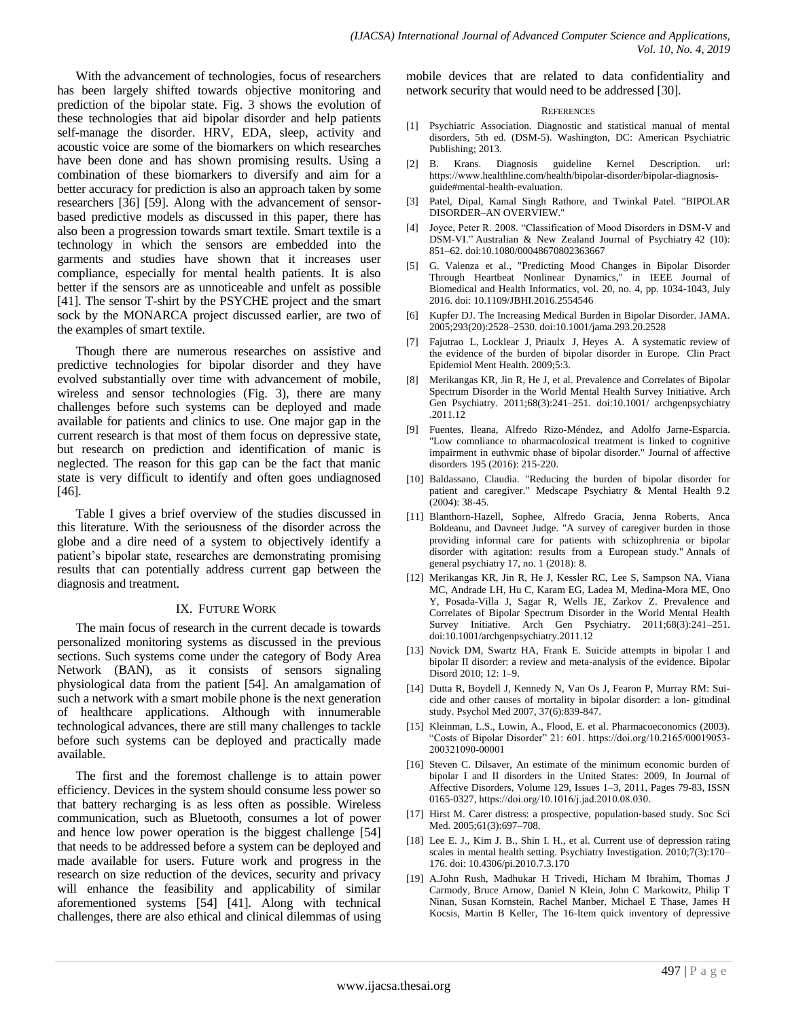With the advancement of technologies, focus of researchers has been largely shifted towards objective monitoring and prediction of the bipolar state. Fig. 3 shows the evolution of these technologies that aid bipolar disorder and help patients self-manage the disorder. HRV, EDA, sleep, activity and acoustic voice are some of the biomarkers on which researches have been done and has shown promising results. Using a combination of these biomarkers to diversify and aim for a better accuracy for prediction is also an approach taken by some researchers [36] [59]. Along with the advancement of sensorbased predictive models as discussed in this paper, there has also been a progression towards smart textile. Smart textile is a technology in which the sensors are embedded into the garments and studies have shown that it increases user compliance, especially for mental health patients. It is also better if the sensors are as unnoticeable and unfelt as possible [41]. The sensor T-shirt by the PSYCHE project and the smart sock by the MONARCA project discussed earlier, are two of the examples of smart textile.

Though there are numerous researches on assistive and predictive technologies for bipolar disorder and they have evolved substantially over time with advancement of mobile, wireless and sensor technologies (Fig. 3), there are many challenges before such systems can be deployed and made available for patients and clinics to use. One major gap in the current research is that most of them focus on depressive state, but research on prediction and identification of manic is neglected. The reason for this gap can be the fact that manic state is very difficult to identify and often goes undiagnosed [46].

Table I gives a brief overview of the studies discussed in this literature. With the seriousness of the disorder across the globe and a dire need of a system to objectively identify a patient"s bipolar state, researches are demonstrating promising results that can potentially address current gap between the diagnosis and treatment.

#### IX. FUTURE WORK

The main focus of research in the current decade is towards personalized monitoring systems as discussed in the previous sections. Such systems come under the category of Body Area Network (BAN), as it consists of sensors signaling physiological data from the patient [54]. An amalgamation of such a network with a smart mobile phone is the next generation of healthcare applications. Although with innumerable technological advances, there are still many challenges to tackle before such systems can be deployed and practically made available.

The first and the foremost challenge is to attain power efficiency. Devices in the system should consume less power so that battery recharging is as less often as possible. Wireless communication, such as Bluetooth, consumes a lot of power and hence low power operation is the biggest challenge [54] that needs to be addressed before a system can be deployed and made available for users. Future work and progress in the research on size reduction of the devices, security and privacy will enhance the feasibility and applicability of similar aforementioned systems [54] [41]. Along with technical challenges, there are also ethical and clinical dilemmas of using mobile devices that are related to data confidentiality and network security that would need to be addressed [30].

#### **REFERENCES**

- [1] Psychiatric Association. Diagnostic and statistical manual of mental disorders, 5th ed. (DSM-5). Washington, DC: American Psychiatric Publishing; 2013.
- [2] B. Krans. Diagnosis guideline Kernel Description. url: [https://www.healthline](https://www.healthline/).com/health/bipolar-disorder/bipolar-diagnosisguide#mental-health-evaluation.
- [3] Patel, Dipal, Kamal Singh Rathore, and Twinkal Patel. "BIPOLAR DISORDER–AN OVERVIEW."
- [4] Joyce, Peter R. 2008. "Classification of Mood Disorders in DSM-V and DSM-VI." Australian & New Zealand Journal of Psychiatry 42 (10): 851–62. doi:10.1080/00048670802363667
- [5] G. Valenza et al., "Predicting Mood Changes in Bipolar Disorder Through Heartbeat Nonlinear Dynamics," in IEEE Journal of Biomedical and Health Informatics, vol. 20, no. 4, pp. 1034-1043, July 2016. doi: 10.1109/JBHI.2016.2554546
- [6] Kupfer DJ. The Increasing Medical Burden in Bipolar Disorder. JAMA. 2005;293(20):2528–2530. doi:10.1001/jama.293.20.2528
- [7] Fajutrao L, Locklear J, Priaulx J, Heyes A. A systematic review of the evidence of the burden of bipolar disorder in Europe. Clin Pract Epidemiol Ment Health. 2009;5:3.
- Merikangas KR, Jin R, He J, et al. Prevalence and Correlates of Bipolar Spectrum Disorder in the World Mental Health Survey Initiative. Arch Gen Psychiatry. 2011;68(3):241–251. doi:10.1001/ archgenpsychiatry .2011.12
- [9] Fuentes, Ileana, Alfredo Rizo-Méndez, and Adolfo Jarne-Esparcia. "Low compliance to pharmacological treatment is linked to cognitive impairment in euthymic phase of bipolar disorder." Journal of affective disorders 195 (2016): 215-220.
- [10] Baldassano, Claudia. "Reducing the burden of bipolar disorder for patient and caregiver." Medscape Psychiatry & Mental Health 9.2 (2004): 38-45.
- [11] Blanthorn-Hazell, Sophee, Alfredo Gracia, Jenna Roberts, Anca Boldeanu, and Davneet Judge. "A survey of caregiver burden in those providing informal care for patients with schizophrenia or bipolar disorder with agitation: results from a European study." Annals of general psychiatry 17, no. 1 (2018): 8.
- [12] Merikangas KR, Jin R, He J, Kessler RC, Lee S, Sampson NA, Viana MC, Andrade LH, Hu C, Karam EG, Ladea M, Medina-Mora ME, Ono Y, Posada-Villa J, Sagar R, Wells JE, Zarkov Z. Prevalence and Correlates of Bipolar Spectrum Disorder in the World Mental Health Survey Initiative. Arch Gen Psychiatry. 2011;68(3):241–251. doi:10.1001/archgenpsychiatry.2011.12
- [13] Novick DM, Swartz HA, Frank E. Suicide attempts in bipolar I and bipolar II disorder: a review and meta‐analysis of the evidence. Bipolar Disord 2010; 12: 1–9.
- [14] Dutta R, Boydell J, Kennedy N, Van Os J, Fearon P, Murray RM: Suicide and other causes of mortality in bipolar disorder: a lon- gitudinal study. Psychol Med 2007, 37(6):839-847.
- [15] Kleinman, L.S., Lowin, A., Flood, E. et al. Pharmacoeconomics (2003). "Costs of Bipolar Disorder" 21: 601. [https://doi.org/10.2165/00019053-](https://doi.org/10.2165/00019053-200321090-00001) [200321090-00001](https://doi.org/10.2165/00019053-200321090-00001)
- [16] Steven C. Dilsaver, An estimate of the minimum economic burden of bipolar I and II disorders in the United States: 2009, In Journal of Affective Disorders, Volume 129, Issues 1–3, 2011, Pages 79-83, ISSN 0165-0327, <https://doi.org/10.1016/j.jad.2010.08.030>.
- [17] Hirst M. Carer distress: a prospective, population-based study. Soc Sci Med. 2005;61(3):697–708.
- [18] Lee E. J., Kim J. B., Shin I. H., et al. Current use of depression rating scales in mental health setting. Psychiatry Investigation. 2010;7(3):170– 176. doi: 10.4306/pi.2010.7.3.170
- [19] A.John Rush, Madhukar H Trivedi, Hicham M Ibrahim, Thomas J Carmody, Bruce Arnow, Daniel N Klein, John C Markowitz, Philip T Ninan, Susan Kornstein, Rachel Manber, Michael E Thase, James H Kocsis, Martin B Keller, The 16-Item quick inventory of depressive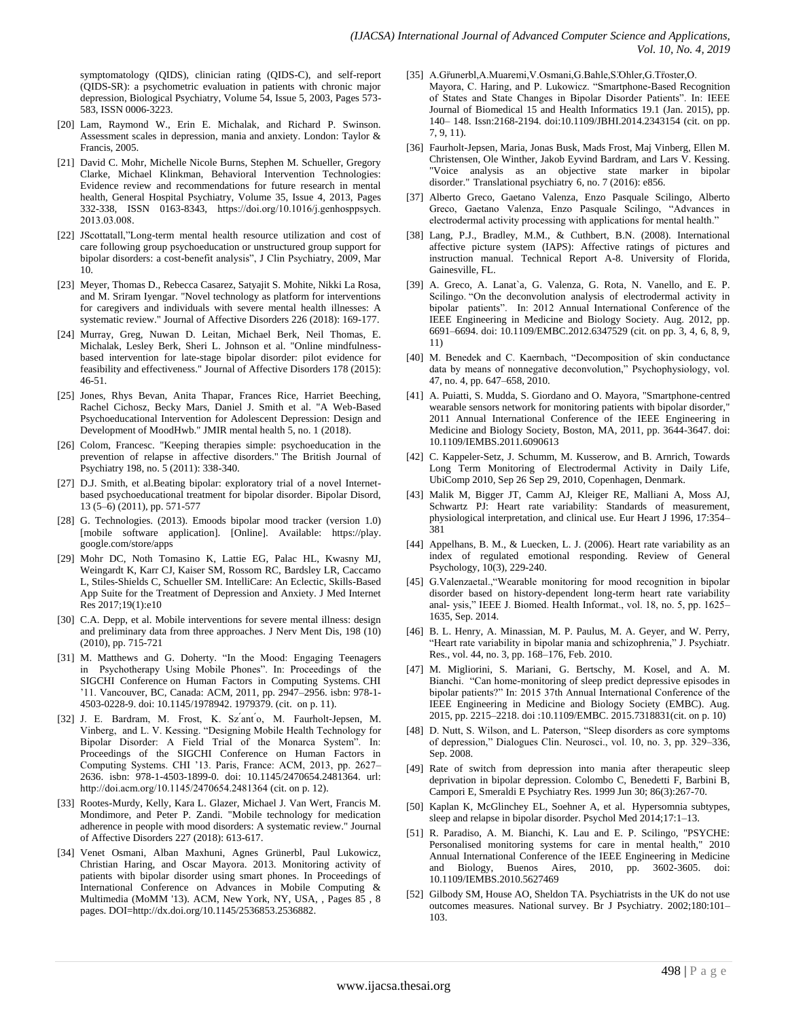symptomatology (QIDS), clinician rating (QIDS-C), and self-report (QIDS-SR): a psychometric evaluation in patients with chronic major depression, Biological Psychiatry, Volume 54, Issue 5, 2003, Pages 573- 583, ISSN 0006-3223.

- [20] Lam, Raymond W., Erin E. Michalak, and Richard P. Swinson. Assessment scales in depression, mania and anxiety. London: Taylor & Francis, 2005.
- [21] David C. Mohr, Michelle Nicole Burns, Stephen M. Schueller, Gregory Clarke, Michael Klinkman, Behavioral Intervention Technologies: Evidence review and recommendations for future research in mental health, General Hospital Psychiatry, Volume 35, Issue 4, 2013, Pages 332-338, ISSN 0163-8343, https://doi.org/10.1016/j.genhosppsych. 2013.03.008.
- [22] JScottatall,"Long-term mental health resource utilization and cost of care following group psychoeducation or unstructured group support for bipolar disorders: a cost-benefit analysis", J Clin Psychiatry, 2009, Mar 10.
- [23] Meyer, Thomas D., Rebecca Casarez, Satyajit S. Mohite, Nikki La Rosa, and M. Sriram Iyengar. "Novel technology as platform for interventions for caregivers and individuals with severe mental health illnesses: A systematic review." Journal of Affective Disorders 226 (2018): 169-177.
- [24] Murray, Greg, Nuwan D. Leitan, Michael Berk, Neil Thomas, E. Michalak, Lesley Berk, Sheri L. Johnson et al. "Online mindfulnessbased intervention for late-stage bipolar disorder: pilot evidence for feasibility and effectiveness." Journal of Affective Disorders 178 (2015): 46-51.
- [25] Jones, Rhys Bevan, Anita Thapar, Frances Rice, Harriet Beeching, Rachel Cichosz, Becky Mars, Daniel J. Smith et al. "A Web-Based Psychoeducational Intervention for Adolescent Depression: Design and Development of MoodHwb." JMIR mental health 5, no. 1 (2018).
- [26] Colom, Francesc. "Keeping therapies simple: psychoeducation in the prevention of relapse in affective disorders." The British Journal of Psychiatry 198, no. 5 (2011): 338-340.
- [27] D.J. Smith, et al.Beating bipolar: exploratory trial of a novel Internetbased psychoeducational treatment for bipolar disorder. Bipolar Disord, 13 (5–6) (2011), pp. 571-577
- [28] G. Technologies. (2013). Emoods bipolar mood tracker (version 1.0) [mobile software application]. [Online]. Available: https://play. google.com/store/apps
- [29] Mohr DC, Noth Tomasino K, Lattie EG, Palac HL, Kwasny MJ, Weingardt K, Karr CJ, Kaiser SM, Rossom RC, Bardsley LR, Caccamo L, Stiles-Shields C, Schueller SM. IntelliCare: An Eclectic, Skills-Based App Suite for the Treatment of Depression and Anxiety. J Med Internet Res 2017;19(1):e10
- [30] C.A. Depp, et al. Mobile interventions for severe mental illness: design and preliminary data from three approaches. J Nerv Ment Dis, 198 (10) (2010), pp. 715-721
- [31] M. Matthews and G. Doherty. "In the Mood: Engaging Teenagers in Psychotherapy Using Mobile Phones". In: Proceedings of the SIGCHI Conference on Human Factors in Computing Systems. CHI "11. Vancouver, BC, Canada: ACM, 2011, pp. 2947–2956. isbn: 978-1- 4503-0228-9. doi: 10.1145/1978942. 1979379. (cit. on p. 11).
- [32] J. E. Bardram, M. Frost, K. Sz<sup>'</sup>ant<sup>'</sup>o, M. Faurholt-Jepsen, M. Vinberg, and L. V. Kessing. "Designing Mobile Health Technology for Bipolar Disorder: A Field Trial of the Monarca System". In: Proceedings of the SIGCHI Conference on Human Factors in Computing Systems. CHI '13. Paris, France: ACM, 2013, pp. 2627-2636. isbn: 978-1-4503-1899-0. doi: 10.1145/2470654.2481364. url: <http://doi.acm.org/10.1145/2470654.2481364> (cit. on p. 12).
- [33] Rootes-Murdy, Kelly, Kara L. Glazer, Michael J. Van Wert, Francis M. Mondimore, and Peter P. Zandi. "Mobile technology for medication adherence in people with mood disorders: A systematic review." Journal of Affective Disorders 227 (2018): 613-617.
- [34] Venet Osmani, Alban Maxhuni, Agnes Grünerbl, Paul Lukowicz, Christian Haring, and Oscar Mayora. 2013. Monitoring activity of patients with bipolar disorder using smart phones. In Proceedings of International Conference on Advances in Mobile Computing & Multimedia (MoMM '13). ACM, New York, NY, USA, , Pages 85 , 8 pages. DOI=http://dx.doi.org/10.1145/2536853.2536882.
- [35] A.Grunerbl,A.Muaremi,V.Osmani,G.Bahle,S.Ohler,G.Troster,O. Mayora, C. Haring, and P. Lukowicz. "Smartphone-Based Recognition of States and State Changes in Bipolar Disorder Patients". In: IEEE Journal of Biomedical 15 and Health Informatics 19.1 (Jan. 2015), pp. 140– 148. Issn:2168-2194. doi:10.1109/JBHI.2014.2343154 (cit. on pp. 7, 9, 11).
- [36] Faurholt-Jepsen, Maria, Jonas Busk, Mads Frost, Maj Vinberg, Ellen M. Christensen, Ole Winther, Jakob Eyvind Bardram, and Lars V. Kessing. "Voice analysis as an objective state marker in bipolar disorder." Translational psychiatry 6, no. 7 (2016): e856.
- [37] Alberto Greco, Gaetano Valenza, Enzo Pasquale Scilingo, Alberto Greco, Gaetano Valenza, Enzo Pasquale Scilingo, "Advances in electrodermal activity processing with applications for mental health."
- [38] Lang, P.J., Bradley, M.M., & Cuthbert, B.N. (2008). International affective picture system (IAPS): Affective ratings of pictures and instruction manual. Technical Report A-8. University of Florida, Gainesville, FL.
- [39] A. Greco, A. Lanat`a, G. Valenza, G. Rota, N. Vanello, and E. P. Scilingo. "On the deconvolution analysis of electrodermal activity in bipolar patients". In: 2012 Annual International Conference of the IEEE Engineering in Medicine and Biology Society. Aug. 2012, pp. 6691–6694. doi: 10.1109/EMBC.2012.6347529 (cit. on pp. 3, 4, 6, 8, 9, 11)
- [40] M. Benedek and C. Kaernbach, "Decomposition of skin conductance data by means of nonnegative deconvolution," Psychophysiology, vol. 47, no. 4, pp. 647–658, 2010.
- [41] A. Puiatti, S. Mudda, S. Giordano and O. Mayora, "Smartphone-centred wearable sensors network for monitoring patients with bipolar disorder," 2011 Annual International Conference of the IEEE Engineering in Medicine and Biology Society, Boston, MA, 2011, pp. 3644-3647. doi: 10.1109/IEMBS.2011.6090613
- [42] C. Kappeler-Setz, J. Schumm, M. Kusserow, and B. Arnrich, Towards Long Term Monitoring of Electrodermal Activity in Daily Life, UbiComp 2010, Sep 26 Sep 29, 2010, Copenhagen, Denmark.
- [43] Malik M, Bigger JT, Camm AJ, Kleiger RE, Malliani A, Moss AJ, Schwartz PJ: Heart rate variability: Standards of measurement, physiological interpretation, and clinical use. Eur Heart J 1996, 17:354– 381
- [44] Appelhans, B. M., & Luecken, L. J. (2006). Heart rate variability as an index of regulated emotional responding. Review of General Psychology, 10(3), 229-240.
- [45] G.Valenzaetal.,"Wearable monitoring for mood recognition in bipolar disorder based on history-dependent long-term heart rate variability anal- ysis," IEEE J. Biomed. Health Informat., vol. 18, no. 5, pp. 1625– 1635, Sep. 2014.
- [46] B. L. Henry, A. Minassian, M. P. Paulus, M. A. Geyer, and W. Perry, "Heart rate variability in bipolar mania and schizophrenia," J. Psychiatr. Res., vol. 44, no. 3, pp. 168–176, Feb. 2010.
- [47] M. Migliorini, S. Mariani, G. Bertschy, M. Kosel, and A. M. Bianchi. "Can home-monitoring of sleep predict depressive episodes in bipolar patients?" In: 2015 37th Annual International Conference of the IEEE Engineering in Medicine and Biology Society (EMBC). Aug. 2015, pp. 2215–2218. doi :10.1109/EMBC. 2015.7318831(cit. on p. 10)
- [48] D. Nutt, S. Wilson, and L. Paterson, "Sleep disorders as core symptoms of depression," Dialogues Clin. Neurosci., vol. 10, no. 3, pp. 329–336, Sep. 2008.
- [49] Rate of switch from depression into mania after therapeutic sleep deprivation in bipolar depression. Colombo C, Benedetti F, Barbini B, Campori E, Smeraldi E Psychiatry Res. 1999 Jun 30; 86(3):267-70.
- [50] Kaplan K, McGlinchey EL, Soehner A, et al. Hypersomnia subtypes, sleep and relapse in bipolar disorder. Psychol Med 2014;17:1–13.
- [51] R. Paradiso, A. M. Bianchi, K. Lau and E. P. Scilingo, "PSYCHE: Personalised monitoring systems for care in mental health," 2010 Annual International Conference of the IEEE Engineering in Medicine and Biology, Buenos Aires, 2010, pp. 3602-3605. doi: 10.1109/IEMBS.2010.5627469
- [52] Gilbody SM, House AO, Sheldon TA. Psychiatrists in the UK do not use outcomes measures. National survey. Br J Psychiatry. 2002;180:101– 103.